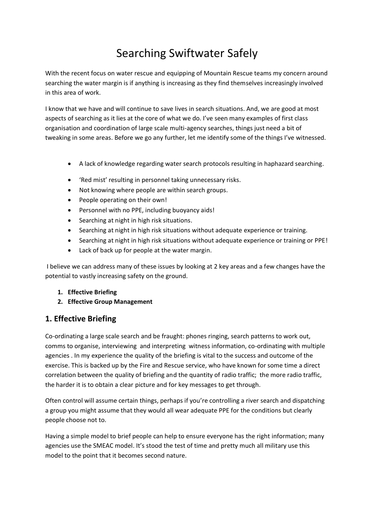# Searching Swiftwater Safely

With the recent focus on water rescue and equipping of Mountain Rescue teams my concern around searching the water margin is if anything is increasing as they find themselves increasingly involved in this area of work.

I know that we have and will continue to save lives in search situations. And, we are good at most aspects of searching as it lies at the core of what we do. I've seen many examples of first class organisation and coordination of large scale multi-agency searches, things just need a bit of tweaking in some areas. Before we go any further, let me identify some of the things I've witnessed.

- A lack of knowledge regarding water search protocols resulting in haphazard searching.
- 'Red mist' resulting in personnel taking unnecessary risks.
- Not knowing where people are within search groups.
- People operating on their own!
- Personnel with no PPE, including buoyancy aids!
- Searching at night in high risk situations.
- Searching at night in high risk situations without adequate experience or training.
- Searching at night in high risk situations without adequate experience or training or PPE!
- Lack of back up for people at the water margin.

I believe we can address many of these issues by looking at 2 key areas and a few changes have the potential to vastly increasing safety on the ground.

- **1. Effective Briefing**
- **2. Effective Group Management**

# **1. Effective Briefing**

Co-ordinating a large scale search and be fraught: phones ringing, search patterns to work out, comms to organise, interviewing and interpreting witness information, co-ordinating with multiple agencies . In my experience the quality of the briefing is vital to the success and outcome of the exercise. This is backed up by the Fire and Rescue service, who have known for some time a direct correlation between the quality of briefing and the quantity of radio traffic; the more radio traffic, the harder it is to obtain a clear picture and for key messages to get through.

Often control will assume certain things, perhaps if you're controlling a river search and dispatching a group you might assume that they would all wear adequate PPE for the conditions but clearly people choose not to.

Having a simple model to brief people can help to ensure everyone has the right information; many agencies use the SMEAC model. It's stood the test of time and pretty much all military use this model to the point that it becomes second nature.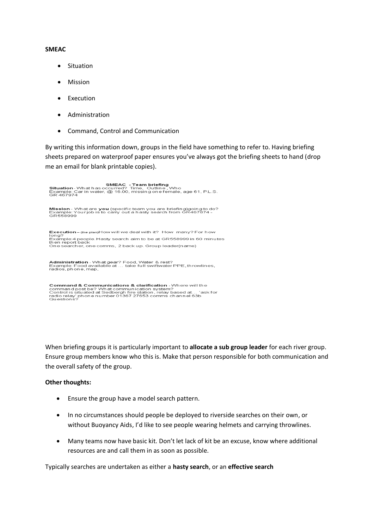#### **SMEAC**

- Situation
- Mission
- Execution
- Administration
- Command, Control and Communication

By writing this information down, groups in the field have something to refer to. Having briefing sheets prepared on waterproof paper ensures you've always got the briefing sheets to hand (drop me an email for blank printable copies).

**Mission** - What are **you** (specific team you are briefing)going to do?<br>Example: Your job is to carry out a hasty search from GR467874 -<br>GR558999 Execution – (the plan)How will we deal with it? How many? For how<br>long?<br>Example:4 people. Hasty search aim to be at GR558999 in 60 minutes<br>then report back<br>One searcher, one comms, 2 back up. Group leader(name) **Administration** - What gear? Food, Water & rest?<br>Example: Food available at … take full swiftwater PPE, throwlines,<br>radios, phone, map,

**Command & Communications & clarification** - Where will the<br>command post be? What communication system?<br>Control is situated at Sedbergh fire station, relay based at… 'ask for<br>radio relay' phone number 01367 27653 comms cha

When briefing groups it is particularly important to **allocate a sub group leader** for each river group. Ensure group members know who this is. Make that person responsible for both communication and the overall safety of the group.

#### **Other thoughts:**

- Ensure the group have a model search pattern.
- In no circumstances should people be deployed to riverside searches on their own, or without Buoyancy Aids, I'd like to see people wearing helmets and carrying throwlines.
- Many teams now have basic kit. Don't let lack of kit be an excuse, know where additional resources are and call them in as soon as possible.

#### Typically searches are undertaken as either a **hasty search**, or an **effective search**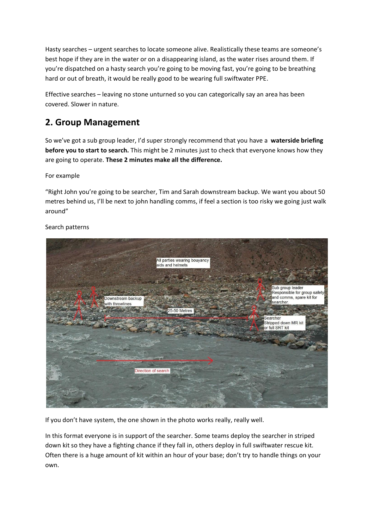Hasty searches – urgent searches to locate someone alive. Realistically these teams are someone's best hope if they are in the water or on a disappearing island, as the water rises around them. If you're dispatched on a hasty search you're going to be moving fast, you're going to be breathing hard or out of breath, it would be really good to be wearing full swiftwater PPE.

Effective searches – leaving no stone unturned so you can categorically say an area has been covered. Slower in nature.

# **2. Group Management**

So we've got a sub group leader, I'd super strongly recommend that you have a **waterside briefing before you to start to search.** This might be 2 minutes just to check that everyone knows how they are going to operate. **These 2 minutes make all the difference.**

## For example

"Right John you're going to be searcher, Tim and Sarah downstream backup. We want you about 50 metres behind us, I'll be next to john handling comms, if feel a section is too risky we going just walk around"



### Search patterns

If you don't have system, the one shown in the photo works really, really well.

In this format everyone is in support of the searcher. Some teams deploy the searcher in striped down kit so they have a fighting chance if they fall in, others deploy in full swiftwater rescue kit. Often there is a huge amount of kit within an hour of your base; don't try to handle things on your own.